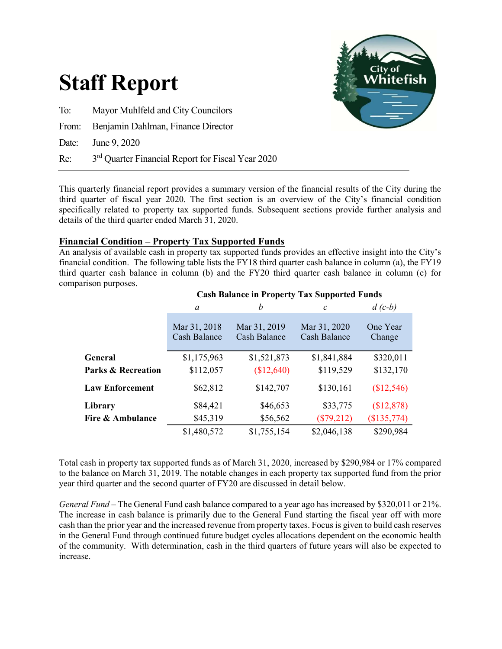

This quarterly financial report provides a summary version of the financial results of the City during the third quarter of fiscal year 2020. The first section is an overview of the City's financial condition specifically related to property tax supported funds. Subsequent sections provide further analysis and details of the third quarter ended March 31, 2020.

# Financial Condition – Property Tax Supported Funds

An analysis of available cash in property tax supported funds provides an effective insight into the City's financial condition. The following table lists the FY18 third quarter cash balance in column (a), the FY19 third quarter cash balance in column (b) and the FY20 third quarter cash balance in column (c) for comparison purposes.

|                               | a                                   | b                                   | $\mathcal{C}$                       | $d(c-b)$           |
|-------------------------------|-------------------------------------|-------------------------------------|-------------------------------------|--------------------|
|                               | Mar 31, 2018<br><b>Cash Balance</b> | Mar 31, 2019<br><b>Cash Balance</b> | Mar 31, 2020<br><b>Cash Balance</b> | One Year<br>Change |
| General                       | \$1,175,963                         | \$1,521,873                         | \$1,841,884                         | \$320,011          |
| <b>Parks &amp; Recreation</b> | \$112,057                           | (\$12,640)                          | \$119,529                           | \$132,170          |
| <b>Law Enforcement</b>        | \$62,812                            | \$142,707                           | \$130,161                           | \$12,546           |
| Library                       | \$84,421                            | \$46,653                            | \$33,775                            | \$12,878           |
| Fire & Ambulance              | \$45,319                            | \$56,562                            | $(\$79,212)$                        | (\$135,774)        |
|                               | \$1,480,572                         | \$1,755,154                         | \$2,046,138                         | \$290,984          |

# Cash Balance in Property Tax Supported Funds

Total cash in property tax supported funds as of March 31, 2020, increased by \$290,984 or 17% compared to the balance on March 31, 2019. The notable changes in each property tax supported fund from the prior year third quarter and the second quarter of FY20 are discussed in detail below.

General Fund – The General Fund cash balance compared to a year ago has increased by \$320,011 or 21%. The increase in cash balance is primarily due to the General Fund starting the fiscal year off with more cash than the prior year and the increased revenue from property taxes. Focus is given to build cash reserves in the General Fund through continued future budget cycles allocations dependent on the economic health of the community. With determination, cash in the third quarters of future years will also be expected to increase.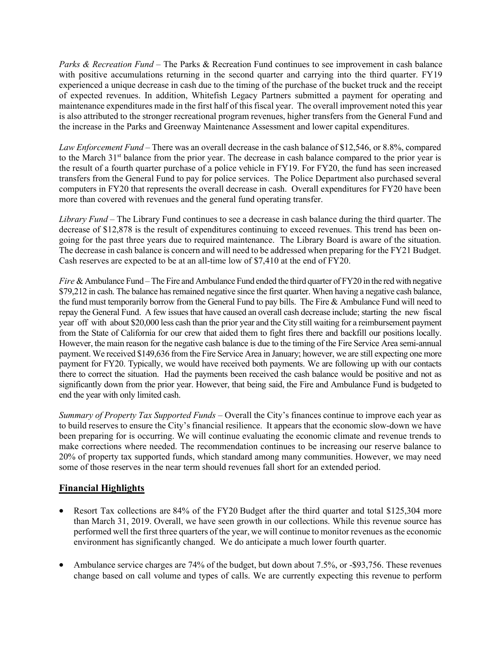Parks & Recreation Fund – The Parks & Recreation Fund continues to see improvement in cash balance with positive accumulations returning in the second quarter and carrying into the third quarter. FY19 experienced a unique decrease in cash due to the timing of the purchase of the bucket truck and the receipt of expected revenues. In addition, Whitefish Legacy Partners submitted a payment for operating and maintenance expenditures made in the first half of this fiscal year. The overall improvement noted this year is also attributed to the stronger recreational program revenues, higher transfers from the General Fund and the increase in the Parks and Greenway Maintenance Assessment and lower capital expenditures.

Law Enforcement Fund – There was an overall decrease in the cash balance of \$12,546, or 8.8%, compared to the March 31<sup>st</sup> balance from the prior year. The decrease in cash balance compared to the prior year is the result of a fourth quarter purchase of a police vehicle in FY19. For FY20, the fund has seen increased transfers from the General Fund to pay for police services. The Police Department also purchased several computers in FY20 that represents the overall decrease in cash. Overall expenditures for FY20 have been more than covered with revenues and the general fund operating transfer.

Library Fund – The Library Fund continues to see a decrease in cash balance during the third quarter. The decrease of \$12,878 is the result of expenditures continuing to exceed revenues. This trend has been ongoing for the past three years due to required maintenance. The Library Board is aware of the situation. The decrease in cash balance is concern and will need to be addressed when preparing for the FY21 Budget. Cash reserves are expected to be at an all-time low of \$7,410 at the end of FY20.

Fire & Ambulance Fund – The Fire and Ambulance Fund ended the third quarter of FY20 in the red with negative \$79,212 in cash. The balance has remained negative since the first quarter. When having a negative cash balance, the fund must temporarily borrow from the General Fund to pay bills. The Fire & Ambulance Fund will need to repay the General Fund. A few issues that have caused an overall cash decrease include; starting the new fiscal year off with about \$20,000 less cash than the prior year and the City still waiting for a reimbursement payment from the State of California for our crew that aided them to fight fires there and backfill our positions locally. However, the main reason for the negative cash balance is due to the timing of the Fire Service Area semi-annual payment. We received \$149,636 from the Fire Service Area in January; however, we are still expecting one more payment for FY20. Typically, we would have received both payments. We are following up with our contacts there to correct the situation. Had the payments been received the cash balance would be positive and not as significantly down from the prior year. However, that being said, the Fire and Ambulance Fund is budgeted to end the year with only limited cash.

Summary of Property Tax Supported Funds – Overall the City's finances continue to improve each year as to build reserves to ensure the City's financial resilience. It appears that the economic slow-down we have been preparing for is occurring. We will continue evaluating the economic climate and revenue trends to make corrections where needed. The recommendation continues to be increasing our reserve balance to 20% of property tax supported funds, which standard among many communities. However, we may need some of those reserves in the near term should revenues fall short for an extended period.

# Financial Highlights

- Resort Tax collections are 84% of the FY20 Budget after the third quarter and total \$125,304 more than March 31, 2019. Overall, we have seen growth in our collections. While this revenue source has performed well the first three quarters of the year, we will continue to monitor revenues as the economic environment has significantly changed. We do anticipate a much lower fourth quarter.
- Ambulance service charges are 74% of the budget, but down about 7.5%, or -\$93,756. These revenues change based on call volume and types of calls. We are currently expecting this revenue to perform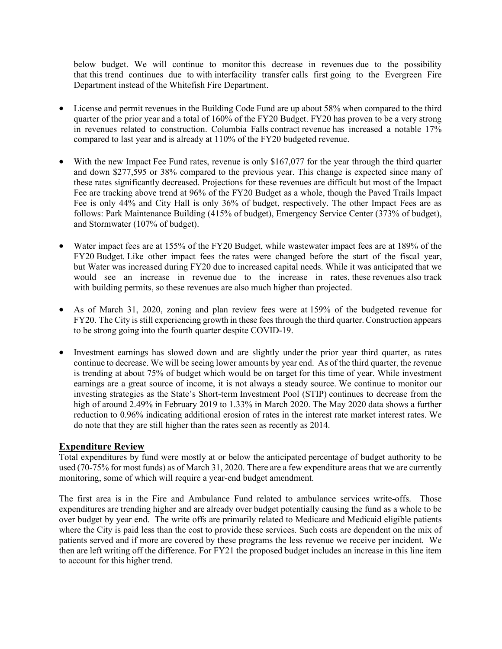below budget. We will continue to monitor this decrease in revenues due to the possibility that this trend continues due to with interfacility transfer calls first going to the Evergreen Fire Department instead of the Whitefish Fire Department.

- License and permit revenues in the Building Code Fund are up about 58% when compared to the third quarter of the prior year and a total of 160% of the FY20 Budget. FY20 has proven to be a very strong in revenues related to construction. Columbia Falls contract revenue has increased a notable 17% compared to last year and is already at 110% of the FY20 budgeted revenue.
- With the new Impact Fee Fund rates, revenue is only \$167,077 for the year through the third quarter and down \$277,595 or 38% compared to the previous year. This change is expected since many of these rates significantly decreased. Projections for these revenues are difficult but most of the Impact Fee are tracking above trend at 96% of the FY20 Budget as a whole, though the Paved Trails Impact Fee is only 44% and City Hall is only 36% of budget, respectively. The other Impact Fees are as follows: Park Maintenance Building (415% of budget), Emergency Service Center (373% of budget), and Stormwater (107% of budget).
- Water impact fees are at 155% of the FY20 Budget, while wastewater impact fees are at 189% of the FY20 Budget. Like other impact fees the rates were changed before the start of the fiscal year, but Water was increased during FY20 due to increased capital needs. While it was anticipated that we would see an increase in revenue due to the increase in rates, these revenues also track with building permits, so these revenues are also much higher than projected.
- As of March 31, 2020, zoning and plan review fees were at 159% of the budgeted revenue for FY20. The City is still experiencing growth in these fees through the third quarter. Construction appears to be strong going into the fourth quarter despite COVID-19.
- Investment earnings has slowed down and are slightly under the prior year third quarter, as rates continue to decrease. We will be seeing lower amounts by year end. As of the third quarter, the revenue is trending at about 75% of budget which would be on target for this time of year. While investment earnings are a great source of income, it is not always a steady source. We continue to monitor our investing strategies as the State's Short-term Investment Pool (STIP) continues to decrease from the high of around 2.49% in February 2019 to 1.33% in March 2020. The May 2020 data shows a further reduction to 0.96% indicating additional erosion of rates in the interest rate market interest rates. We do note that they are still higher than the rates seen as recently as 2014.

## Expenditure Review

Total expenditures by fund were mostly at or below the anticipated percentage of budget authority to be used (70-75% for most funds) as of March 31, 2020. There are a few expenditure areas that we are currently monitoring, some of which will require a year-end budget amendment.

The first area is in the Fire and Ambulance Fund related to ambulance services write-offs. Those expenditures are trending higher and are already over budget potentially causing the fund as a whole to be over budget by year end. The write offs are primarily related to Medicare and Medicaid eligible patients where the City is paid less than the cost to provide these services. Such costs are dependent on the mix of patients served and if more are covered by these programs the less revenue we receive per incident. We then are left writing off the difference. For FY21 the proposed budget includes an increase in this line item to account for this higher trend.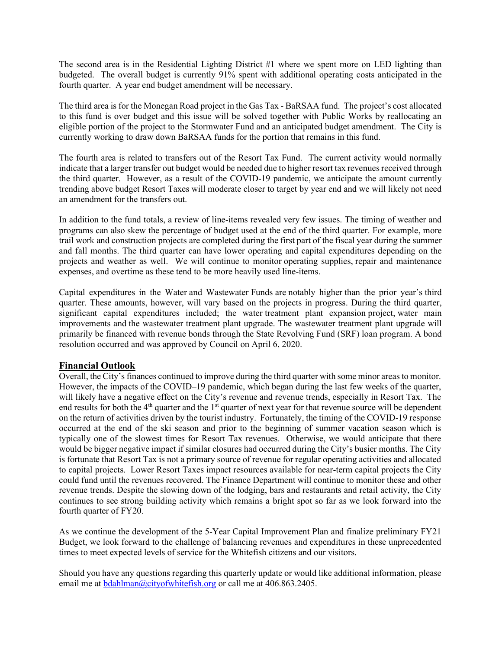The second area is in the Residential Lighting District #1 where we spent more on LED lighting than budgeted. The overall budget is currently 91% spent with additional operating costs anticipated in the fourth quarter. A year end budget amendment will be necessary.

The third area is for the Monegan Road project in the Gas Tax - BaRSAA fund. The project's cost allocated to this fund is over budget and this issue will be solved together with Public Works by reallocating an eligible portion of the project to the Stormwater Fund and an anticipated budget amendment. The City is currently working to draw down BaRSAA funds for the portion that remains in this fund.

The fourth area is related to transfers out of the Resort Tax Fund. The current activity would normally indicate that a larger transfer out budget would be needed due to higher resort tax revenues received through the third quarter. However, as a result of the COVID-19 pandemic, we anticipate the amount currently trending above budget Resort Taxes will moderate closer to target by year end and we will likely not need an amendment for the transfers out.

In addition to the fund totals, a review of line-items revealed very few issues. The timing of weather and programs can also skew the percentage of budget used at the end of the third quarter. For example, more trail work and construction projects are completed during the first part of the fiscal year during the summer and fall months. The third quarter can have lower operating and capital expenditures depending on the projects and weather as well. We will continue to monitor operating supplies, repair and maintenance expenses, and overtime as these tend to be more heavily used line-items.

Capital expenditures in the Water and Wastewater Funds are notably higher than the prior year's third quarter. These amounts, however, will vary based on the projects in progress. During the third quarter, significant capital expenditures included; the water treatment plant expansion project, water main improvements and the wastewater treatment plant upgrade. The wastewater treatment plant upgrade will primarily be financed with revenue bonds through the State Revolving Fund (SRF) loan program. A bond resolution occurred and was approved by Council on April 6, 2020.

## Financial Outlook

Overall, the City's finances continued to improve during the third quarter with some minor areas to monitor. However, the impacts of the COVID–19 pandemic, which began during the last few weeks of the quarter, will likely have a negative effect on the City's revenue and revenue trends, especially in Resort Tax. The end results for both the 4<sup>th</sup> quarter and the 1<sup>st</sup> quarter of next year for that revenue source will be dependent on the return of activities driven by the tourist industry. Fortunately, the timing of the COVID-19 response occurred at the end of the ski season and prior to the beginning of summer vacation season which is typically one of the slowest times for Resort Tax revenues. Otherwise, we would anticipate that there would be bigger negative impact if similar closures had occurred during the City's busier months. The City is fortunate that Resort Tax is not a primary source of revenue for regular operating activities and allocated to capital projects. Lower Resort Taxes impact resources available for near-term capital projects the City could fund until the revenues recovered. The Finance Department will continue to monitor these and other revenue trends. Despite the slowing down of the lodging, bars and restaurants and retail activity, the City continues to see strong building activity which remains a bright spot so far as we look forward into the fourth quarter of FY20.

As we continue the development of the 5-Year Capital Improvement Plan and finalize preliminary FY21 Budget, we look forward to the challenge of balancing revenues and expenditures in these unprecedented times to meet expected levels of service for the Whitefish citizens and our visitors.

Should you have any questions regarding this quarterly update or would like additional information, please email me at bdahlman@cityofwhitefish.org or call me at 406.863.2405.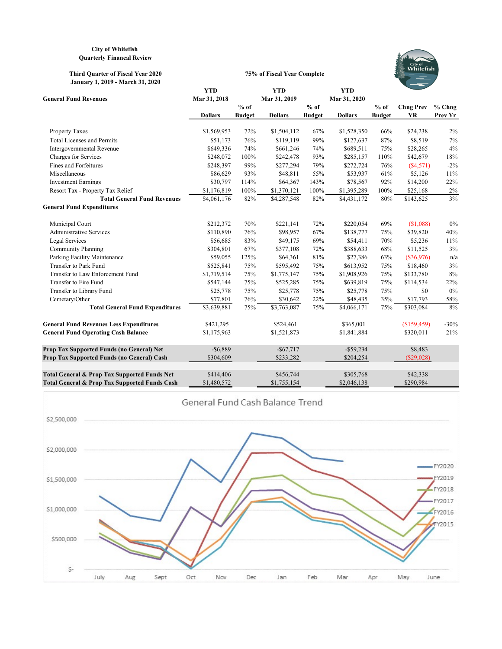#### City of Whitefish Quarterly Financal Review

#### Third Quarter of Fiscal Year 2020 January 1, 2019 - March 31, 2020



|                                                 | <b>YTD</b>     |               | <b>YTD</b>     |               | <b>YTD</b>     |               |                  |          |
|-------------------------------------------------|----------------|---------------|----------------|---------------|----------------|---------------|------------------|----------|
| <b>General Fund Revenues</b>                    | Mar 31, 2018   |               | Mar 31, 2019   |               | Mar 31, 2020   |               |                  |          |
|                                                 |                | $%$ of        |                | $%$ of        |                | $%$ of        | <b>Chng Prev</b> | $%$ Chng |
|                                                 | <b>Dollars</b> | <b>Budget</b> | <b>Dollars</b> | <b>Budget</b> | <b>Dollars</b> | <b>Budget</b> | YR               | Prev Yr  |
| <b>Property Taxes</b>                           | \$1,569,953    | 72%           | \$1,504,112    | 67%           | \$1,528,350    | 66%           | \$24,238         | 2%       |
| <b>Total Licenses and Permits</b>               | \$51,173       | 76%           | \$119,119      | 99%           | \$127,637      | 87%           | \$8,519          | 7%       |
| Intergovernmental Revenue                       | \$649,336      | 74%           | \$661,246      | 74%           | \$689,511      | 75%           | \$28,265         | 4%       |
| Charges for Services                            | \$248,072      | 100%          | \$242,478      | 93%           | \$285,157      | 110%          | \$42,679         | 18%      |
| Fines and Forfeitures                           | \$248,397      | 99%           | \$277,294      | 79%           | \$272,724      | 76%           | (S4, 571)        | $-2\%$   |
| Miscellaneous                                   | \$86,629       | 93%           | \$48,811       | 55%           | \$53,937       | 61%           | \$5,126          | 11%      |
| <b>Investment Earnings</b>                      | \$30,797       | 114%          | \$64,367       | 143%          | \$78,567       | 92%           | \$14,200         | 22%      |
| Resort Tax - Property Tax Relief                | \$1,176,819    | 100%          | \$1,370,121    | 100%          | \$1,395,289    | 100%          | \$25,168         | $2\%$    |
| <b>Total General Fund Revenues</b>              | \$4,061,176    | 82%           | \$4,287,548    | 82%           | \$4,431,172    | 80%           | \$143,625        | 3%       |
| <b>General Fund Expenditures</b>                |                |               |                |               |                |               |                  |          |
| Municipal Court                                 | \$212,372      | 70%           | \$221,141      | 72%           | \$220,054      | 69%           | (\$1,088)        | $0\%$    |
| <b>Administrative Services</b>                  | \$110,890      | 76%           | \$98,957       | 67%           | \$138,777      | 75%           | \$39,820         | 40%      |
| Legal Services                                  | \$56,685       | 83%           | \$49,175       | 69%           | \$54,411       | 70%           | \$5,236          | 11%      |
| <b>Community Planning</b>                       | \$304,801      | 67%           | \$377,108      | 72%           | \$388,633      | 68%           | \$11,525         | 3%       |
| Parking Facility Maintenance                    | \$59,055       | 125%          | \$64,361       | 81%           | \$27,386       | 63%           | $(\$36,976)$     | n/a      |
| Transfer to Park Fund                           | \$525,841      | 75%           | \$595,492      | 75%           | \$613,952      | 75%           | \$18,460         | 3%       |
| Transfer to Law Enforcement Fund                | \$1,719,514    | 75%           | \$1,775,147    | 75%           | \$1,908,926    | 75%           | \$133,780        | 8%       |
| Transfer to Fire Fund                           | \$547,144      | 75%           | \$525,285      | 75%           | \$639,819      | 75%           | \$114,534        | 22%      |
| Transfer to Library Fund                        | \$25,778       | 75%           | \$25,778       | 75%           | \$25,778       | 75%           | \$0              | 0%       |
| Cemetary/Other                                  | \$77,801       | 76%           | \$30,642       | 22%           | \$48,435       | 35%           | \$17,793         | 58%      |
| <b>Total General Fund Expenditures</b>          | \$3,639,881    | 75%           | \$3,763,087    | 75%           | \$4,066,171    | 75%           | \$303,084        | 8%       |
| <b>General Fund Revenues Less Expenditures</b>  | \$421,295      |               | \$524,461      |               | \$365,001      |               | (\$159,459)      | $-30%$   |
| <b>General Fund Operating Cash Balance</b>      | \$1,175,963    |               | \$1,521,873    |               | \$1,841,884    |               | \$320,011        | 21%      |
| Prop Tax Supported Funds (no General) Net       | $-$ \$6,889    |               | $-$ \$67,717   |               | $-$ \$59,234   |               | \$8,483          |          |
| Prop Tax Supported Funds (no General) Cash      | \$304,609      |               | \$233,282      |               | \$204,254      |               | $(\$29,028)$     |          |
| Total General & Prop Tax Supported Funds Net    | \$414,406      |               | \$456,744      |               | \$305,768      |               | \$42,338         |          |
| Total Congrad & Dream Tow Commonted Founds Cook | 01.490.572     |               | 01755154       |               | 0.046120       |               | 0.00004          |          |

75% of Fiscal Year Complete

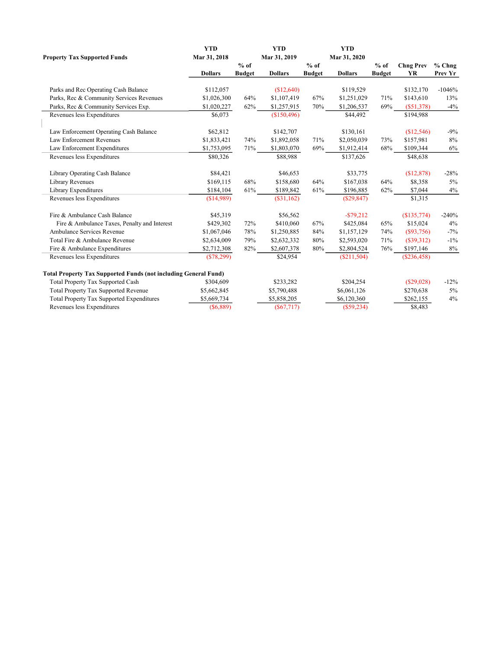|                                                                        | <b>YTD</b>     |               | <b>YTD</b>     |               | <b>YTD</b>     |               |                  |          |
|------------------------------------------------------------------------|----------------|---------------|----------------|---------------|----------------|---------------|------------------|----------|
| <b>Property Tax Supported Funds</b>                                    | Mar 31, 2018   |               | Mar 31, 2019   |               | Mar 31, 2020   |               |                  |          |
|                                                                        |                | $%$ of        |                | $%$ of        |                | $%$ of        | <b>Chng Prev</b> | $%$ Chng |
|                                                                        | <b>Dollars</b> | <b>Budget</b> | <b>Dollars</b> | <b>Budget</b> | <b>Dollars</b> | <b>Budget</b> | YR               | Prev Yr  |
|                                                                        |                |               |                |               |                |               |                  |          |
| Parks and Rec Operating Cash Balance                                   | \$112,057      |               | (\$12,640)     |               | \$119,529      |               | \$132,170        | $-1046%$ |
| Parks, Rec & Community Services Revenues                               | \$1,026,300    | 64%           | \$1,107,419    | 67%           | \$1,251,029    | 71%           | \$143,610        | 13%      |
| Parks, Rec & Community Services Exp.                                   | \$1,020,227    | 62%           | \$1,257,915    | 70%           | \$1,206,537    | 69%           | $(\$51,378)$     | $-4%$    |
| Revenues less Expenditures                                             | \$6,073        |               | (\$150,496)    |               | \$44,492       |               | \$194,988        |          |
| Law Enforcement Operating Cash Balance                                 | \$62,812       |               | \$142,707      |               | \$130,161      |               | (\$12,546)       | $-9%$    |
| Law Enforcement Revenues                                               | \$1,833,421    | 74%           | \$1,892,058    | 71%           | \$2,050,039    | 73%           | \$157,981        | 8%       |
| Law Enforcement Expenditures                                           | \$1,753,095    | 71%           | \$1,803,070    | 69%           | \$1,912,414    | 68%           | \$109,344        | 6%       |
| Revenues less Expenditures                                             | \$80,326       |               | \$88,988       |               | \$137,626      |               | \$48,638         |          |
| Library Operating Cash Balance                                         | \$84,421       |               | \$46,653       |               | \$33,775       |               | (\$12,878)       | $-28%$   |
| Library Revenues                                                       | \$169,115      | 68%           | \$158,680      | 64%           | \$167,038      | 64%           | \$8,358          | 5%       |
| Library Expenditures                                                   | \$184,104      | 61%           | \$189,842      | 61%           | \$196,885      | 62%           | \$7,044          | 4%       |
| Revenues less Expenditures                                             | (\$14,989)     |               | (\$31,162)     |               | (\$29,847)     |               | \$1,315          |          |
| Fire & Ambulance Cash Balance                                          | \$45,319       |               | \$56,562       |               | $-$ \$79,212   |               | (\$135,774)      | $-240%$  |
| Fire & Ambulance Taxes, Penalty and Interest                           | \$429,302      | 72%           | \$410,060      | 67%           | \$425,084      | 65%           | \$15,024         | 4%       |
| Ambulance Services Revenue                                             | \$1,067,046    | 78%           | \$1,250,885    | 84%           | \$1,157,129    | 74%           | (S93,756)        | $-7%$    |
| Total Fire & Ambulance Revenue                                         | \$2,634,009    | 79%           | \$2,632,332    | 80%           | \$2,593,020    | 71%           | $(\$39,312)$     | $-1\%$   |
| Fire & Ambulance Expenditures                                          | \$2,712,308    | 82%           | \$2,607,378    | $80\%$        | \$2,804,524    | 76%           | \$197,146        | 8%       |
| Revenues less Expenditures                                             | (\$78,299)     |               | \$24,954       |               | (S211, 504)    |               | (\$236,458)      |          |
| <b>Total Property Tax Supported Funds (not including General Fund)</b> |                |               |                |               |                |               |                  |          |
| Total Property Tax Supported Cash                                      | \$304,609      |               | \$233,282      |               | \$204,254      |               | $(\$29,028)$     | $-12%$   |
| <b>Total Property Tax Supported Revenue</b>                            | \$5,662,845    |               | \$5,790,488    |               | \$6,061,126    |               | \$270,638        | 5%       |
| Total Property Tax Supported Expenditures                              | \$5,669,734    |               | \$5,858,205    |               | \$6,120,360    |               | \$262,155        | 4%       |
| Revenues less Expenditures                                             | (\$6,889)      |               | $(\$67,717)$   |               | (\$59,234)     |               | \$8,483          |          |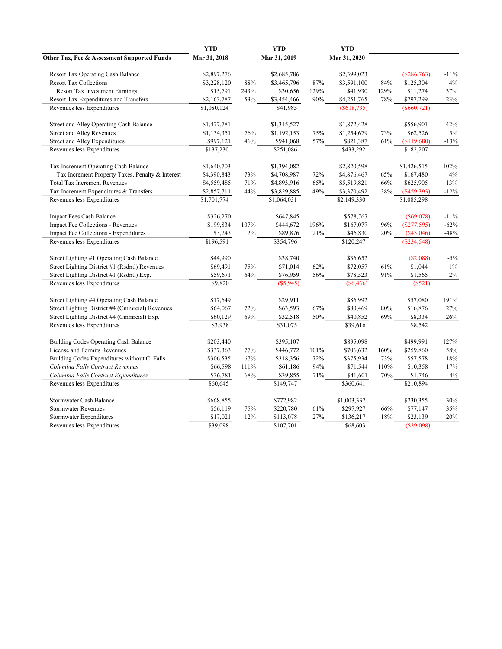|                                                  | <b>YTD</b>   |      | <b>YTD</b>   |      | <b>YTD</b>   |      |               |        |
|--------------------------------------------------|--------------|------|--------------|------|--------------|------|---------------|--------|
| Other Tax, Fee & Assessment Supported Funds      | Mar 31, 2018 |      | Mar 31, 2019 |      | Mar 31, 2020 |      |               |        |
| <b>Resort Tax Operating Cash Balance</b>         | \$2,897,276  |      | \$2,685,786  |      | \$2,399,023  |      | $(\$286,763)$ | $-11%$ |
| <b>Resort Tax Collections</b>                    | \$3,228,120  | 88%  | \$3,465,796  | 87%  | \$3,591,100  | 84%  | \$125,304     | 4%     |
| <b>Resort Tax Investment Earnings</b>            | \$15,791     | 243% | \$30,656     | 129% | \$41,930     | 129% | \$11,274      | 37%    |
| Resort Tax Expenditures and Transfers            | \$2,163,787  | 53%  | \$3,454,466  | 90%  | \$4,251,765  | 78%  | \$797,299     | 23%    |
| Revenues less Expenditures                       | \$1,080,124  |      | \$41,985     |      | (S618, 735)  |      | $(\$660,721)$ |        |
| Street and Alley Operating Cash Balance          | \$1,477,781  |      | \$1,315,527  |      | \$1,872,428  |      | \$556,901     | 42%    |
| <b>Street and Alley Revenues</b>                 | \$1,134,351  | 76%  | \$1,192,153  | 75%  | \$1,254,679  | 73%  | \$62,526      | 5%     |
| Street and Alley Expenditures                    | \$997,121    | 46%  | \$941,068    | 57%  | \$821,387    | 61%  | (\$119,680)   | $-13%$ |
| Revenues less Expenditures                       | \$137,230    |      | \$251,086    |      | \$433,292    |      | \$182,207     |        |
| Tax Increment Operating Cash Balance             | \$1,640,703  |      | \$1,394,082  |      | \$2,820,598  |      | \$1,426,515   | 102%   |
| Tax Increment Property Taxes, Penalty & Interest | \$4,390,843  | 73%  | \$4,708,987  | 72%  | \$4,876,467  | 65%  | \$167,480     | 4%     |
| <b>Total Tax Increment Revenues</b>              | \$4,559,485  | 71%  | \$4,893,916  | 65%  | \$5,519,821  | 66%  | \$625,905     | 13%    |
| Tax Increment Expenditures & Transfers           | \$2,857,711  | 44%  | \$3,829,885  | 49%  | \$3,370,492  | 38%  | (\$459,393)   | $-12%$ |
| Revenues less Expenditures                       | \$1,701,774  |      | \$1,064,031  |      | \$2,149,330  |      | \$1,085,298   |        |
| Impact Fees Cash Balance                         | \$326,270    |      | \$647,845    |      | \$578,767    |      | $(\$69,078)$  | $-11%$ |
| Impact Fee Collections - Revenues                | \$199,834    | 107% | \$444,672    | 196% | \$167,077    | 96%  | (S277, 595)   | $-62%$ |
| Impact Fee Collections - Expenditures            | \$3,243      | 2%   | \$89,876     | 21%  | \$46,830     | 20%  | $(\$43,046)$  | $-48%$ |
| Revenues less Expenditures                       | \$196,591    |      | \$354,796    |      | \$120,247    |      | (\$234,548)   |        |
| Street Lighting #1 Operating Cash Balance        | \$44,990     |      | \$38,740     |      | \$36,652     |      | (\$2,088)     | $-5%$  |
| Street Lighting District #1 (Rsdntl) Revenues    | \$69,491     | 75%  | \$71,014     | 62%  | \$72,057     | 61%  | \$1,044       | $1\%$  |
| Street Lighting District #1 (Rsdntl) Exp.        | \$59,671     | 64%  | \$76,959     | 56%  | \$78,523     | 91%  | \$1,565       | 2%     |
| Revenues less Expenditures                       | \$9,820      |      | $(\$5,945)$  |      | $(\$6,466)$  |      | (S521)        |        |
| Street Lighting #4 Operating Cash Balance        | \$17,649     |      | \$29,911     |      | \$86,992     |      | \$57,080      | 191%   |
| Street Lighting District #4 (Cmmrcial) Revenues  | \$64,067     | 72%  | \$63,593     | 67%  | \$80,469     | 80%  | \$16,876      | 27%    |
| Street Lighting District #4 (Cmmrcial) Exp.      | \$60,129     | 69%  | \$32,518     | 50%  | \$40,852     | 69%  | \$8,334       | 26%    |
| Revenues less Expenditures                       | \$3,938      |      | \$31,075     |      | \$39,616     |      | \$8,542       |        |
| Building Codes Operating Cash Balance            | \$203,440    |      | \$395,107    |      | \$895,098    |      | \$499,991     | 127%   |
| License and Permits Revenues                     | \$337,363    | 77%  | \$446,772    | 101% | \$706,632    | 160% | \$259,860     | 58%    |
| Building Codes Expenditures without C. Falls     | \$306,535    | 67%  | \$318,356    | 72%  | \$375,934    | 73%  | \$57,578      | 18%    |
| Columbia Falls Contract Revenues                 | \$66,598     | 111% | \$61,186     | 94%  | \$71,544     | 110% | \$10,358      | 17%    |
| Columbia Falls Contract Expenditures             | \$36,781     | 68%  | \$39,855     | 71%  | \$41,601     | 70%  | \$1,746       | 4%     |
| Revenues less Expenditures                       | \$60,645     |      | \$149,747    |      | \$360,641    |      | \$210,894     |        |
| Stormwater Cash Balance                          | \$668,855    |      | \$772,982    |      | \$1,003,337  |      | \$230,355     | 30%    |
| <b>Stormwater Revenues</b>                       | \$56,119     | 75%  | \$220,780    | 61%  | \$297,927    | 66%  | \$77,147      | 35%    |
| Stormwater Expenditures                          | \$17,021     | 12%  | \$113,078    | 27%  | \$136,217    | 18%  | \$23,139      | 20%    |
| Revenues less Expenditures                       | \$39,098     |      | \$107,701    |      | \$68,603     |      | (S39,098)     |        |